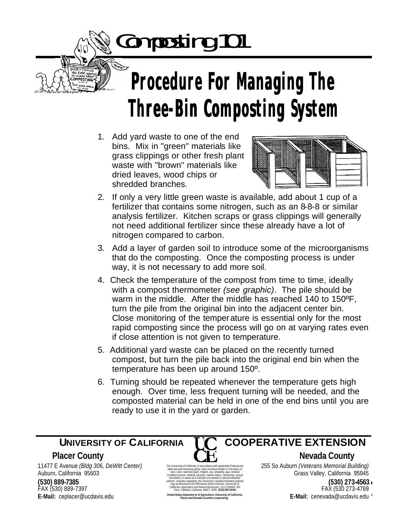Composting 101

## **Procedure For Managing The Three-Bin Composting System**

1. Add yard waste to one of the end bins. Mix in "green" materials like grass clippings or other fresh plant waste with "brown" materials like dried leaves, wood chips or shredded branches.



- 2. If only a very little green waste is available, add about 1 cup of a fertilizer that contains some nitrogen, such as an 8-8-8 or similar analysis fertilizer. Kitchen scraps or grass clippings will generally not need additional fertilizer since these already have a lot of nitrogen compared to carbon.
- 3. Add a layer of garden soil to introduce some of the microorganisms that do the composting. Once the composting process is under way, it is not necessary to add more soil.
- 4. Check the temperature of the compost from time to time, ideally with a compost thermometer *(see graphic)*. The pile should be warm in the middle. After the middle has reached 140 to 150ºF, turn the pile from the original bin into the adjacent center bin. Close monitoring of the temperature is essential only for the most rapid composting since the process will go on at varying rates even if close attention is not given to temperature.
- 5. Additional yard waste can be placed on the recently turned compost, but turn the pile back into the original end bin when the temperature has been up around 150º.
- 6. Turning should be repeated whenever the temperature gets high enough. Over time, less frequent turning will be needed, and the composted material can be held in one of the end bins until you are ready to use it in the yard or garden.

UNIVERSITY OF CALIFORNIA COOPERATIVE EXTENSION Page 1 **E-Mail:** cenevada@ucdavis.edu 11477 E Avenue *(Bldg 306, DeWitt Center)* Auburn, California 95603 **(530) 889-7385** FAX (530) 889-7397 **E-Mail:** ceplacer@ucdavis.edu



*The University of California, in accordance with applicable Federal and State law and University policy, does not discriminate o n the basis of race, color, national origin, religion, sex, disability, age, medical condition (cancer-related), ancestry, marital status, citizenship, sexual orientation, or status as a Vietnam-era veteran or special disabled veteran. Inquiries regarding the University's nondiscrimination policies may be directed to the Affirmative Action Director, University of California, Agriculture and Natural Resources, 1111 Franklin, 6th Floor, Oakland, California 94607 -5200. (510) 987-0096. United States Departme nt of Agriculture, University of California, Placer and Nevada Counties cooperating.*

 **UNIVERSITY OF CALIFORNIA COOPERATIVE EXTENSION**

**Placer County Nevada County C H**, **Nevada County** 

255 So Auburn *(Veterans Memorial Building)* Grass Valley, California 95945

> **(530) 273-4563** FAX (530 273-4769